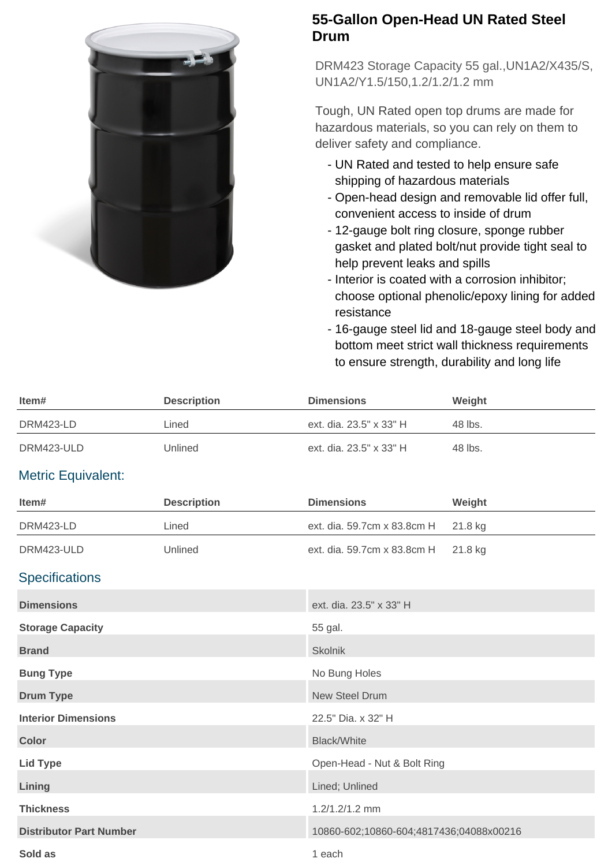

## **55-Gallon Open-Head UN Rated Steel Drum**

DRM423 Storage Capacity 55 gal.,UN1A2/X435/S, UN1A2/Y1.5/150,1.2/1.2/1.2 mm

Tough, UN Rated open top drums are made for hazardous materials, so you can rely on them to deliver safety and compliance.

- UN Rated and tested to help ensure safe shipping of hazardous materials
- Open-head design and removable lid offer full, convenient access to inside of drum
- 12-gauge bolt ring closure, sponge rubber gasket and plated bolt/nut provide tight seal to help prevent leaks and spills
- Interior is coated with a corrosion inhibitor; choose optional phenolic/epoxy lining for added resistance
- 16-gauge steel lid and 18-gauge steel body and bottom meet strict wall thickness requirements to ensure strength, durability and long life

| Item#                          | <b>Description</b> | <b>Dimensions</b>                       | Weight  |
|--------------------------------|--------------------|-----------------------------------------|---------|
| DRM423-LD                      | Lined              | ext. dia. 23.5" x 33" H                 | 48 lbs. |
| DRM423-ULD                     | Unlined            | ext. dia. 23.5" x 33" H                 | 48 lbs. |
| <b>Metric Equivalent:</b>      |                    |                                         |         |
| Item#                          | <b>Description</b> | <b>Dimensions</b>                       | Weight  |
| DRM423-LD                      | Lined              | ext. dia. 59.7cm x 83.8cm H             | 21.8 kg |
| DRM423-ULD                     | Unlined            | ext. dia. 59.7cm x 83.8cm H             | 21.8 kg |
| <b>Specifications</b>          |                    |                                         |         |
| <b>Dimensions</b>              |                    | ext. dia. 23.5" x 33" H                 |         |
| <b>Storage Capacity</b>        |                    | 55 gal.                                 |         |
| <b>Brand</b>                   |                    | <b>Skolnik</b>                          |         |
| <b>Bung Type</b>               |                    | No Bung Holes                           |         |
| <b>Drum Type</b>               |                    | <b>New Steel Drum</b>                   |         |
| <b>Interior Dimensions</b>     |                    | 22.5" Dia. x 32" H                      |         |
| <b>Color</b>                   |                    | <b>Black/White</b>                      |         |
| <b>Lid Type</b>                |                    | Open-Head - Nut & Bolt Ring             |         |
| Lining                         |                    | Lined; Unlined                          |         |
| <b>Thickness</b>               |                    | 1.2/1.2/1.2 mm                          |         |
| <b>Distributor Part Number</b> |                    | 10860-602;10860-604;4817436;04088x00216 |         |
| Sold as                        |                    | 1 each                                  |         |